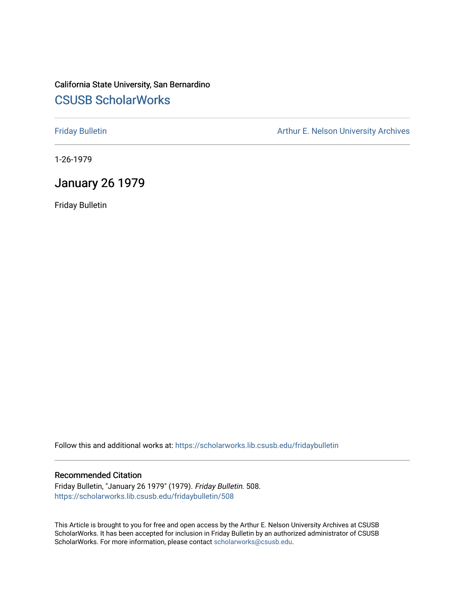### California State University, San Bernardino [CSUSB ScholarWorks](https://scholarworks.lib.csusb.edu/)

[Friday Bulletin](https://scholarworks.lib.csusb.edu/fridaybulletin) **Arthur E. Nelson University Archives** Arthur E. Nelson University Archives

1-26-1979

#### January 26 1979

Friday Bulletin

Follow this and additional works at: [https://scholarworks.lib.csusb.edu/fridaybulletin](https://scholarworks.lib.csusb.edu/fridaybulletin?utm_source=scholarworks.lib.csusb.edu%2Ffridaybulletin%2F508&utm_medium=PDF&utm_campaign=PDFCoverPages)

#### Recommended Citation

Friday Bulletin, "January 26 1979" (1979). Friday Bulletin. 508. [https://scholarworks.lib.csusb.edu/fridaybulletin/508](https://scholarworks.lib.csusb.edu/fridaybulletin/508?utm_source=scholarworks.lib.csusb.edu%2Ffridaybulletin%2F508&utm_medium=PDF&utm_campaign=PDFCoverPages)

This Article is brought to you for free and open access by the Arthur E. Nelson University Archives at CSUSB ScholarWorks. It has been accepted for inclusion in Friday Bulletin by an authorized administrator of CSUSB ScholarWorks. For more information, please contact [scholarworks@csusb.edu.](mailto:scholarworks@csusb.edu)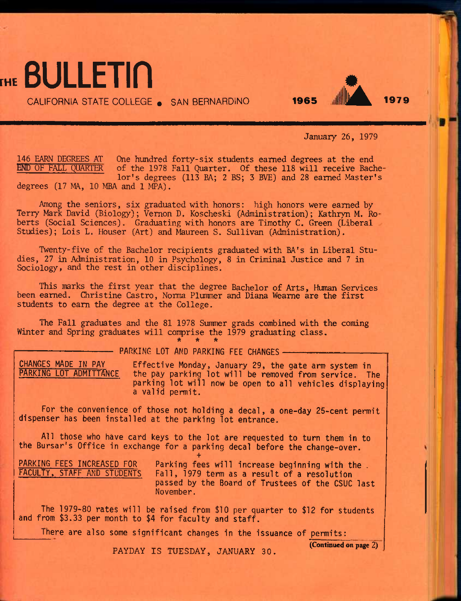# **REBULLETIN**

**CALIFORNIA STATE COLLEGE • SAN BERNARDINO 1965 <b>1979** 1979

January 26, 1979

146 EARN DEGREES AT END OF FALL QUARTER One hundred forty-six students earned degrees at the end of the 1978 Fall Quarter. Of these 118 will receive Bachelor's degrees (113 BA; 2 BS; 3 BVE) and 28 earned Master's degrees (17 MA, 10 MBA and 1 MPA).

Among the seniors, six graduated with honors: high honors were earned by Terry Mark David (Biology); Vernon D. Koscheski (Administration); Kathryn M. Roberts (Social Sciences). Graduating with honors are Timothy C. Green (Liberal Studies); Lois L. Houser (Art) and Maureen S. Sullivan (Administration).

Twenty-five of the Bachelor recipients graduated with BA's in Liberal Studies, 27 in Administration, 10 in Psychology, 8 in Criminal Justice and 7 in Sociology, and the rest in other disciplines.

This marks the first year that the degree Bachelor of Arts, Human Services been earned. Christine Castro, Norma Plummer and Diana Weame are the first students to earn the degree at the College.

The Fall graduates and the 81 1978 Summer grads combined with the coming Winter and Spring graduates will comprise the 1979 graduating class.  $\star$   $\star$   $\star$ 

- PARKING LOT AND PARKING FEE CHANGES -

CHANGES MADE IN PAY PARKING LOT ADMITTANCE Effective Monday, January 29, the gate arm system in the pay parking lot will be removed from service. The parking lot will now be open to all vehicles displaying a valid permit.

For the convenience of those not holding a decal, a one-day 25-cent permit dispenser has been installed at the parking lot entrance.

All those who have card keys to the lot are requested to turn them in to the Bursar's Office in exchange for a parking decal before the change-over.

**+**  PARKING FEES INCREASED FOR Parking fees will increase beginning with the .<br>FACULTY, STAFF AND STUDENTS Fall, 1979 term as a result of a resolution Fall, 1979 term as a result of a resolution passed by the Board of Trustees of the CSUC last November.

The 1979-80 rates will be raised from \$10 per quarter to \$12 for students and from \$3.33 per month to \$4 for faculty and staff.

There are also some significant changes in the issuance of permits:

PAYDAY IS TUESDAY, JANUARY 30.

(Continued on page 2)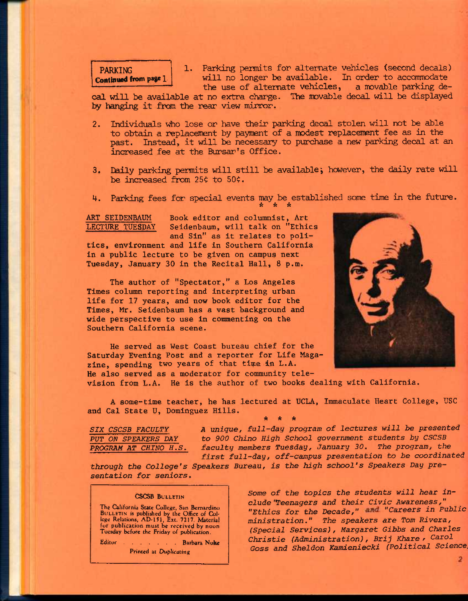#### PARKING Continued from page 1

1. Parking permits for alternate vehicles (second decals) will no longer be available. In order to accommodate the use of alternate vehicles, a movable parking de-

cal will be available at no extra charge. The movable decal will be displayed by hanging it from the rear view mirror.

- 2. Individuals who lose or have their parking decal stolen will not be able to obtain a replacenent by payment of a modest replacement fee as in the past. Instead, it will be necessary to purchase a new parking decal at an increased fee at the Bursar's Office.
- 3. Daily parking permits will still be available; however, the daily rate will be increased from  $25¢$  to  $50¢$ .
- 4. Parking fees for special events may be established some time in the future. *it it \**

**ART SEIDENBAUM LECTURE TUESDAY Book editor and columnist, Art Seidenbaum, will talk on "Ethics and Sin" as it relates to politics, environment and life in Southern California in a public lecture to be given on campus next Tuesday, January 30 in the Recital Hall, 8 p.m.** 

**The author of "Spectator," a Los Angeles Times column reporting and interpreting urban life for 17 years, and now book editor for the Times, Mr. Seidenbaum has a vast background and wide perspective to use in commenting on the Southern California scene.** 

**He served as West Coast bureau chief for the Saturday Evening Post and a reporter for Life Magazine, spending two years of that time in L.A. He also served as a moderator for community tele-**



**vision from L.A. He is the author of two books dealing with California.** 

**A some-time teacher, he has lectured at UCLA, Immaculate Heart College, USC and Cal State U, Dominguez Hills.** 

AAA

*SIX CSCSB FACULTY A unique, full-day program of lectures will be presented PUT ON SPEAKERS DAY to 900 Chino High School government students by CSCSB PPOGRAM AT CHINO H.S. faculty members Tuesday, January 30. The program, the first full-day, off-campus presentation to be coordinated* 

*through the College's Speakers Bureau, is the high school's Speakers Day presentation for seniors.* 

#### CSCSB BULLETIN

The California State College, San Bernardino BULLETIN is published by the Office of Col-lege Relations, AD-151, Ext. 7217. Material or publication must be received by noun Tuesday before the Friday of publication.

Editor . . . . . . Barbara Nolte Printed at Duplicating

*Some of the topics the students will hear include 'Teenagers and their Civic Awareness,"*  "Ethics for the Decade," and "Careers in Public *ministration." The speakers are Tom Rivera, (Special Services), Margaret Gibbs and Charles Christie (Administration), Brij Khare f Carol*  Goss and Sheldon Kamieniecki (Political Science

 $\overline{2}$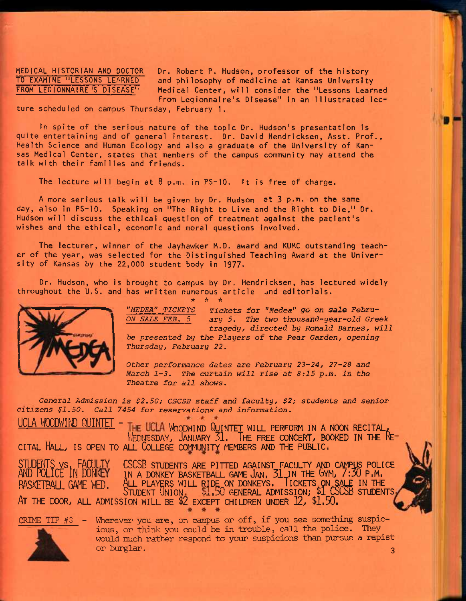MEDICAL HISTORIAN AND DOCTOR Dr. Robert P. Hudson, professor of the history<br>TO EXAMINE "LESSONS LEARNED and philosophy of medicine at Kansas University and philosophy of medicine at Kansas University FROM LEGIONNAIRE'S DISEASE" Medical Center, will consider the "Lessons Learned from Legionnaire's Disease" in an illustrated lec-

ture scheduled on campus Thursday, February 1.

In spite of the serious nature of the topic Dr. Hudson's presentation is quite entertaining and of general interest. Dr. David Hendricksen, Asst. Prof., Health Science and Human Ecology and also a graduate of the University of Kansas Medical Center, states that members of the campus community may attend the talk with their families and friends.

The lecture will begin at 8 p.m. in PS-10. It is free of charge.

A more serious talk will be given by Dr. Hudson at 3 p.m. on the same day, also in PS-10. Speaking on "The Right to Live and the Right to Die," Dr. Hudson will discuss the ethical question of treatment against the patient's wishes and the ethical, economic and moral questions involved.

The lecturer, winner of the Jayhawker M.D. award and KUMC outstanding teacher of the year, was selected for the Distinguished Teaching Award at the University of Kansas by the 22,000 student body in 1977-

Dr. Hudson, who is brought to campus by Dr. Hendricksen, has lectured widely throughout the U.S. and has written numerous article and editorials. *\* -h \** 



*"MEDEA" TICKETS Tickets for "Medea" go on* sale *Febru-OM SALE FEB, 5 ary 5. The two thousand-year-old Greek tragedy, directed by Ronald Barnes, will be presented by the Players of the Pear Garden, opening Thursday, February 22.* 

*Other performance dates are February 23-24, 27-28 and March 1-3. The curtain will rise at 8:15 p.m. in the Theatre for all shows.* 

*General Admission is \$2.50; CSCSB staff and faculty, \$2; students and senior citizens \$1.50. Call 7454 for reservations and information.* 

 $*$   $*$ 

UCLA WOODWIND QUINTET - THE UCLA WOODWIND **QUINTET WILL PERFORM IN A NOON RECITAL IEDNESDAY, JANUARY 31. THE FREE CONCERT, BOOKED IN THE RE**ciTAL **HALL, IS OPEN TO ALL COLLEGE COMMUNITY MEMBERS AND THE PUBLIC,** 

STUDENTS vs. FACULTY CSCSB STUDENTS ARE PITTED AGAINST FACULTY AND CAMPUS POLICE<br>AND POLICE IN DON**KEY** IN A DONKEY BASKETBALL GAME JAN. 31 IN THE GYM, 7:30 P.M. **AND POLICE IN DONKEY IN A DONKEY BASKETBALL GAME JAN. 31JN THE GYM, 7:30 P.M.**  PASKETPALL GAME WED. ALL PLAYERS WILL RIDE ON DONKEYS. TICKETS ON SALE IN THE **AT THE DOOR, ALL ADMISSION WILL BE \$2 EXCEPT CHILDREN UNDER 12, \$1,50.** 



CRIME TIP #3 - Wherever you are, on carapus or off, if you see something suspicious, or think you could be in trouble, call the police. They^ would much rather respond to your suspicions than pursue a rapist or burglar. 3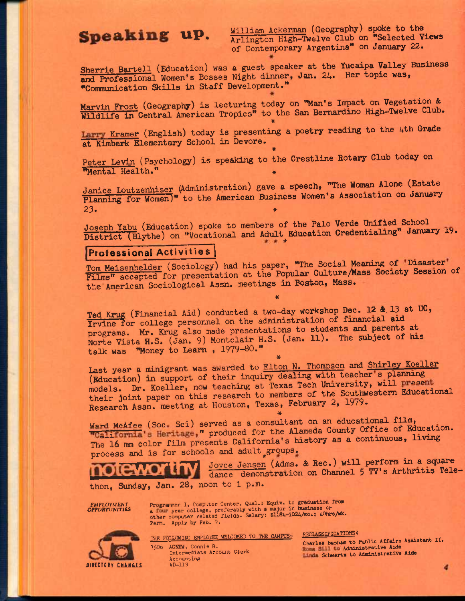**Speaking up.** William Ackerman (Geography) spoke to the Arlington High-Twelve Club on "Selected Views of Contemporary Argentina" on January 22.

Sherrie Bartell (Education) was a guest speaker at the Yucaipa Valley Business and Professional Women's Bosses Night dinner, Jan. 24. Her topic was, "Communication Skills in Staff Development."

Marvin Frost (Geography) is lecturing today on "Man's Impact on Vegetation & Wildlife in Central American Tropics" to the San Bernardino High-Twelve Club.

Larry Kramer (English) today is presenting a poetry reading to the 4th Grade at Kimbark Elementary School in Devore. *\** 

Peter Levin (Psychology) is speaking to the Crestline Rotary Club today on "Mental Health." \*

Janice Loutzenhiser (Administration) gave a speech, "The Woman Alone (Estate Planning for Women)" to the American Business Women's Association on January 23.  $*$ 

Joseph Yabu (Education) spoke to members of the Palo Verde Unified School District (Blythe) on "Vocational and Adult Education Credentialing" January 19.

#### Professional Activities \

Tom Meisenhelder (Sociology) had his paper, "The Social Meaning of Disaster' Films" accepted for presentation at the Popular Culture/Mass Society Session of the American Sociological Assn. meetings in Boston, Mass.

*\** 

Ted Krug (Financial Aid) conducted a two-day workshop Dec. 12 &. 13 at UC, Irvine for college personnel on the administration of financial aid programs. Mr. Krug also made presentations to students and parents at Norte Vista H.S. (Jan. 9) Montclair H.S. (Jan. ll). The subject of his talk was "Money to Learn, 1979-80."

Last year a minigrant was awarded to Elton N. Thompson and Shirley Koeller (Education) in support of their inquiry dealing with teacher's planning models. Dr. Koeller, now teaching at Texas Tech University, will present their joint paper on this research to members of the Southwestern Educational Research Assn. meeting at Houston, Texas, February 2, 1979. **\*** 

Ward McAfee (Soc. Sci) served as a consultant on an educational film, "California's Heritage," produced for the Alameda County Office of Education. The 16 mm color film presents California's history as a continuous, living process and is for schools and adult groups.

Joyce Jensen (Adms. & Rec.) will perform in a square dance demonstration on Channel 5 TV's Arthritis Tele-

thon, Sunday, Jan. 28, noon to 1 p.m.

*EMPLOYMENT* Programmer I, Computer Center. Qual.: Equiv. to graduation from **OPPORTUNITIES** a none year college, preferably with a major in business or other computer related fields. Salary: \$1184-1024/mo.; ^Ohrs/wk. Perm. Apply by Feb. *9.* 



THE FOLLOWING EMPLOYEE WELCOMED TO THE CAMPUS: RECLASSIFICATIONS:

Accounting

Charles Basham to Public Affairs Assistant II.<br>7506 ACNEW, Connie R. AGNEW, CONNIE N.<br>Thermediate Account Clerk Roma Bill to Administrative Aide Linda Schwarts to Administrative Aide